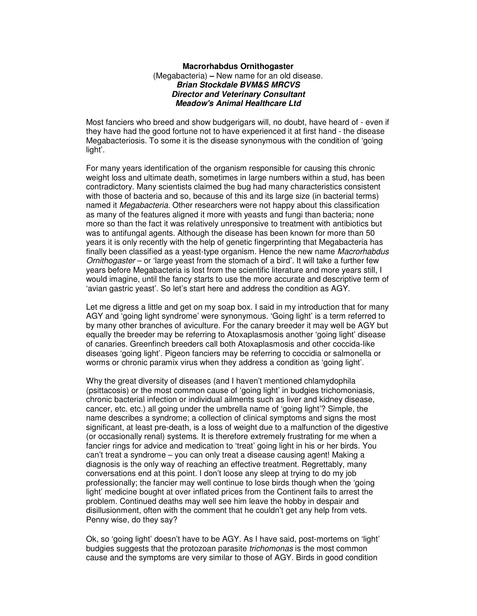## **Macrorhabdus Ornithogaster**  (Megabacteria) **–** New name for an old disease. **Brian Stockdale BVM&S MRCVS Director and Veterinary Consultant Meadow's Animal Healthcare Ltd**

Most fanciers who breed and show budgerigars will, no doubt, have heard of - even if they have had the good fortune not to have experienced it at first hand - the disease Megabacteriosis. To some it is the disease synonymous with the condition of 'going light'.

For many years identification of the organism responsible for causing this chronic weight loss and ultimate death, sometimes in large numbers within a stud, has been contradictory. Many scientists claimed the bug had many characteristics consistent with those of bacteria and so, because of this and its large size (in bacterial terms) named it Megabacteria. Other researchers were not happy about this classification as many of the features aligned it more with yeasts and fungi than bacteria; none more so than the fact it was relatively unresponsive to treatment with antibiotics but was to antifungal agents. Although the disease has been known for more than 50 years it is only recently with the help of genetic fingerprinting that Megabacteria has finally been classified as a yeast-type organism. Hence the new name Macrorhabdus Ornithogaster – or 'large yeast from the stomach of a bird'. It will take a further few years before Megabacteria is lost from the scientific literature and more years still, I would imagine, until the fancy starts to use the more accurate and descriptive term of 'avian gastric yeast'. So let's start here and address the condition as AGY.

Let me digress a little and get on my soap box. I said in my introduction that for many AGY and 'going light syndrome' were synonymous. 'Going light' is a term referred to by many other branches of aviculture. For the canary breeder it may well be AGY but equally the breeder may be referring to Atoxaplasmosis another 'going light' disease of canaries. Greenfinch breeders call both Atoxaplasmosis and other coccida-like diseases 'going light'. Pigeon fanciers may be referring to coccidia or salmonella or worms or chronic paramix virus when they address a condition as 'going light'.

Why the great diversity of diseases (and I haven't mentioned chlamydophila (psittacosis) or the most common cause of 'going light' in budgies trichomoniasis, chronic bacterial infection or individual ailments such as liver and kidney disease, cancer, etc. etc.) all going under the umbrella name of 'going light'? Simple, the name describes a syndrome; a collection of clinical symptoms and signs the most significant, at least pre-death, is a loss of weight due to a malfunction of the digestive (or occasionally renal) systems. It is therefore extremely frustrating for me when a fancier rings for advice and medication to 'treat' going light in his or her birds. You can't treat a syndrome – you can only treat a disease causing agent! Making a diagnosis is the only way of reaching an effective treatment. Regrettably, many conversations end at this point. I don't loose any sleep at trying to do my job professionally; the fancier may well continue to lose birds though when the 'going light' medicine bought at over inflated prices from the Continent fails to arrest the problem. Continued deaths may well see him leave the hobby in despair and disillusionment, often with the comment that he couldn't get any help from vets. Penny wise, do they say?

Ok, so 'going light' doesn't have to be AGY. As I have said, post-mortems on 'light' budgies suggests that the protozoan parasite trichomonas is the most common cause and the symptoms are very similar to those of AGY. Birds in good condition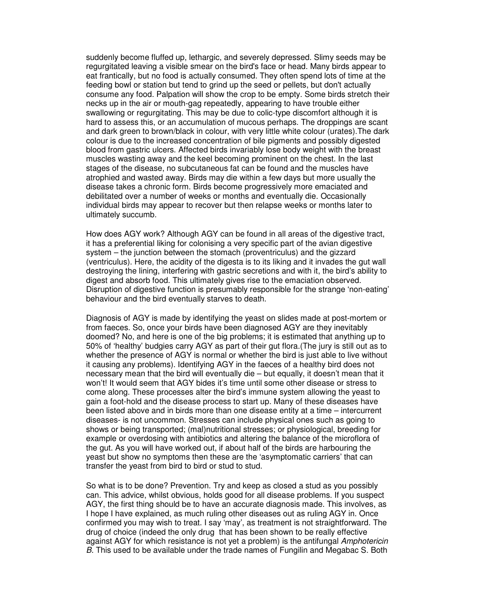suddenly become fluffed up, lethargic, and severely depressed. Slimy seeds may be regurgitated leaving a visible smear on the bird's face or head. Many birds appear to eat frantically, but no food is actually consumed. They often spend lots of time at the feeding bowl or station but tend to grind up the seed or pellets, but don't actually consume any food. Palpation will show the crop to be empty. Some birds stretch their necks up in the air or mouth-gag repeatedly, appearing to have trouble either swallowing or regurgitating. This may be due to colic-type discomfort although it is hard to assess this, or an accumulation of mucous perhaps. The droppings are scant and dark green to brown/black in colour, with very little white colour (urates).The dark colour is due to the increased concentration of bile pigments and possibly digested blood from gastric ulcers. Affected birds invariably lose body weight with the breast muscles wasting away and the keel becoming prominent on the chest. In the last stages of the disease, no subcutaneous fat can be found and the muscles have atrophied and wasted away. Birds may die within a few days but more usually the disease takes a chronic form. Birds become progressively more emaciated and debilitated over a number of weeks or months and eventually die. Occasionally individual birds may appear to recover but then relapse weeks or months later to ultimately succumb.

How does AGY work? Although AGY can be found in all areas of the digestive tract, it has a preferential liking for colonising a very specific part of the avian digestive system – the junction between the stomach (proventriculus) and the gizzard (ventriculus). Here, the acidity of the digesta is to its liking and it invades the gut wall destroying the lining, interfering with gastric secretions and with it, the bird's ability to digest and absorb food. This ultimately gives rise to the emaciation observed. Disruption of digestive function is presumably responsible for the strange 'non-eating' behaviour and the bird eventually starves to death.

Diagnosis of AGY is made by identifying the yeast on slides made at post-mortem or from faeces. So, once your birds have been diagnosed AGY are they inevitably doomed? No, and here is one of the big problems; it is estimated that anything up to 50% of 'healthy' budgies carry AGY as part of their gut flora.(The jury is still out as to whether the presence of AGY is normal or whether the bird is just able to live without it causing any problems). Identifying AGY in the faeces of a healthy bird does not necessary mean that the bird will eventually die – but equally, it doesn't mean that it won't! It would seem that AGY bides it's time until some other disease or stress to come along. These processes alter the bird's immune system allowing the yeast to gain a foot-hold and the disease process to start up. Many of these diseases have been listed above and in birds more than one disease entity at a time – intercurrent diseases- is not uncommon. Stresses can include physical ones such as going to shows or being transported; (mal)nutritional stresses; or physiological, breeding for example or overdosing with antibiotics and altering the balance of the microflora of the gut. As you will have worked out, if about half of the birds are harbouring the yeast but show no symptoms then these are the 'asymptomatic carriers' that can transfer the yeast from bird to bird or stud to stud.

So what is to be done? Prevention. Try and keep as closed a stud as you possibly can. This advice, whilst obvious, holds good for all disease problems. If you suspect AGY, the first thing should be to have an accurate diagnosis made. This involves, as I hope I have explained, as much ruling other diseases out as ruling AGY in. Once confirmed you may wish to treat. I say 'may', as treatment is not straightforward. The drug of choice (indeed the only drug that has been shown to be really effective against AGY for which resistance is not yet a problem) is the antifungal Amphotericin B. This used to be available under the trade names of Fungilin and Megabac S. Both